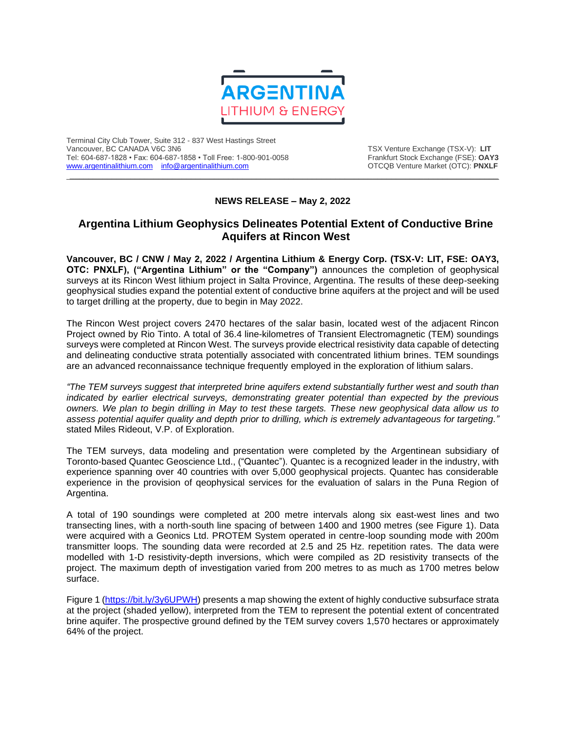

Terminal City Club Tower, Suite 312 - 837 West Hastings Street Tel: 604-687-1828 • Fax: 604-687-1858 • Toll Free: 1-800-901-0058 Frankfurt Stock Exchange (FSE): **OAY3**<br>https://www.argentinalithium.com info@argentinalithium.com into the source of the STCQB Venture Market (OTC): PNXLF [www.argentinalithium.com](http://www.argentinalithium.com/) [info@argentinalithium.com](mailto:info@argentinalithium.com)

TSX Venture Exchange (TSX-V): LIT<br>Frankfurt Stock Exchange (FSE): OAY3

## **NEWS RELEASE – May 2, 2022**

 $\_$  , and the state of the state of the state of the state of the state of the state of the state of the state of the state of the state of the state of the state of the state of the state of the state of the state of the

# **Argentina Lithium Geophysics Delineates Potential Extent of Conductive Brine Aquifers at Rincon West**

**Vancouver, BC / CNW / May 2, 2022 / Argentina Lithium & Energy Corp. (TSX-V: LIT, FSE: OAY3, OTC: PNXLF), ("Argentina Lithium" or the "Company")** announces the completion of geophysical surveys at its Rincon West lithium project in Salta Province, Argentina. The results of these deep-seeking geophysical studies expand the potential extent of conductive brine aquifers at the project and will be used to target drilling at the property, due to begin in May 2022.

The Rincon West project covers 2470 hectares of the salar basin, located west of the adjacent Rincon Project owned by Rio Tinto. A total of 36.4 line-kilometres of Transient Electromagnetic (TEM) soundings surveys were completed at Rincon West. The surveys provide electrical resistivity data capable of detecting and delineating conductive strata potentially associated with concentrated lithium brines. TEM soundings are an advanced reconnaissance technique frequently employed in the exploration of lithium salars.

*"The TEM surveys suggest that interpreted brine aquifers extend substantially further west and south than indicated by earlier electrical surveys, demonstrating greater potential than expected by the previous owners. We plan to begin drilling in May to test these targets. These new geophysical data allow us to assess potential aquifer quality and depth prior to drilling, which is extremely advantageous for targeting."* stated Miles Rideout, V.P. of Exploration.

The TEM surveys, data modeling and presentation were completed by the Argentinean subsidiary of Toronto-based Quantec Geoscience Ltd., ("Quantec"). Quantec is a recognized leader in the industry, with experience spanning over 40 countries with over 5,000 geophysical projects. Quantec has considerable experience in the provision of qeophysical services for the evaluation of salars in the Puna Region of Argentina.

A total of 190 soundings were completed at 200 metre intervals along six east-west lines and two transecting lines, with a north-south line spacing of between 1400 and 1900 metres (see Figure 1). Data were acquired with a Geonics Ltd. PROTEM System operated in centre-loop sounding mode with 200m transmitter loops. The sounding data were recorded at 2.5 and 25 Hz. repetition rates. The data were modelled with 1-D resistivity-depth inversions, which were compiled as 2D resistivity transects of the project. The maximum depth of investigation varied from 200 metres to as much as 1700 metres below surface.

Figure 1 [\(https://bit.ly/3y6UPWH\)](https://bit.ly/3y6UPWH) presents a map showing the extent of highly conductive subsurface strata at the project (shaded yellow), interpreted from the TEM to represent the potential extent of concentrated brine aquifer. The prospective ground defined by the TEM survey covers 1,570 hectares or approximately 64% of the project.